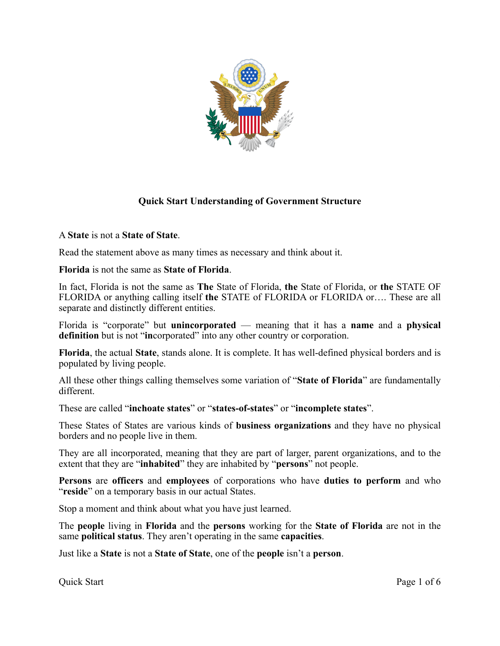

# **Quick Start Understanding of Government Structure**

A **State** is not a **State of State**.

Read the statement above as many times as necessary and think about it.

**Florida** is not the same as **State of Florida**.

In fact, Florida is not the same as **The** State of Florida, **the** State of Florida, or **the** STATE OF FLORIDA or anything calling itself **the** STATE of FLORIDA or FLORIDA or…. These are all separate and distinctly different entities.

Florida is "corporate" but **unincorporated** — meaning that it has a **name** and a **physical definition** but is not "**in**corporated" into any other country or corporation.

**Florida**, the actual **State**, stands alone. It is complete. It has well-defined physical borders and is populated by living people.

All these other things calling themselves some variation of "**State of Florida**" are fundamentally different.

These are called "**inchoate states**" or "**states-of-states**" or "**incomplete states**".

These States of States are various kinds of **business organizations** and they have no physical borders and no people live in them.

They are all incorporated, meaning that they are part of larger, parent organizations, and to the extent that they are "**inhabited**" they are inhabited by "**persons**" not people.

**Persons** are **officers** and **employees** of corporations who have **duties to perform** and who "reside" on a temporary basis in our actual States.

Stop a moment and think about what you have just learned.

The **people** living in **Florida** and the **persons** working for the **State of Florida** are not in the same **political status**. They aren't operating in the same **capacities**.

Just like a **State** is not a **State of State**, one of the **people** isn't a **person**.

Quick Start Page 1 of 6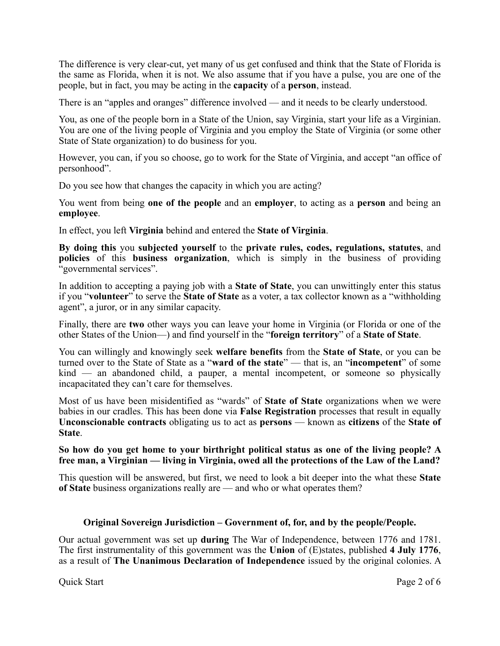The difference is very clear-cut, yet many of us get confused and think that the State of Florida is the same as Florida, when it is not. We also assume that if you have a pulse, you are one of the people, but in fact, you may be acting in the **capacity** of a **person**, instead.

There is an "apples and oranges" difference involved — and it needs to be clearly understood.

You, as one of the people born in a State of the Union, say Virginia, start your life as a Virginian. You are one of the living people of Virginia and you employ the State of Virginia (or some other State of State organization) to do business for you.

However, you can, if you so choose, go to work for the State of Virginia, and accept "an office of personhood".

Do you see how that changes the capacity in which you are acting?

You went from being **one of the people** and an **employer**, to acting as a **person** and being an **employee**.

In effect, you left **Virginia** behind and entered the **State of Virginia**.

**By doing this** you **subjected yourself** to the **private rules, codes, regulations, statutes**, and **policies** of this **business organization**, which is simply in the business of providing "governmental services".

In addition to accepting a paying job with a **State of State**, you can unwittingly enter this status if you "**volunteer**" to serve the **State of State** as a voter, a tax collector known as a "withholding agent", a juror, or in any similar capacity.

Finally, there are **two** other ways you can leave your home in Virginia (or Florida or one of the other States of the Union—) and find yourself in the "**foreign territory**" of a **State of State**.

You can willingly and knowingly seek **welfare benefits** from the **State of State**, or you can be turned over to the State of State as a "**ward of the state**" — that is, an "**incompetent**" of some kind — an abandoned child, a pauper, a mental incompetent, or someone so physically incapacitated they can't care for themselves.

Most of us have been misidentified as "wards" of **State of State** organizations when we were babies in our cradles. This has been done via **False Registration** processes that result in equally **Unconscionable contracts** obligating us to act as **persons** — known as **citizens** of the **State of State**.

## **So how do you get home to your birthright political status as one of the living people? A free man, a Virginian — living in Virginia, owed all the protections of the Law of the Land?**

This question will be answered, but first, we need to look a bit deeper into the what these **State of State** business organizations really are — and who or what operates them?

## **Original Sovereign Jurisdiction – Government of, for, and by the people/People.**

Our actual government was set up **during** The War of Independence, between 1776 and 1781. The first instrumentality of this government was the **Union** of (E)states, published **4 July 1776**, as a result of **The Unanimous Declaration of Independence** issued by the original colonies. A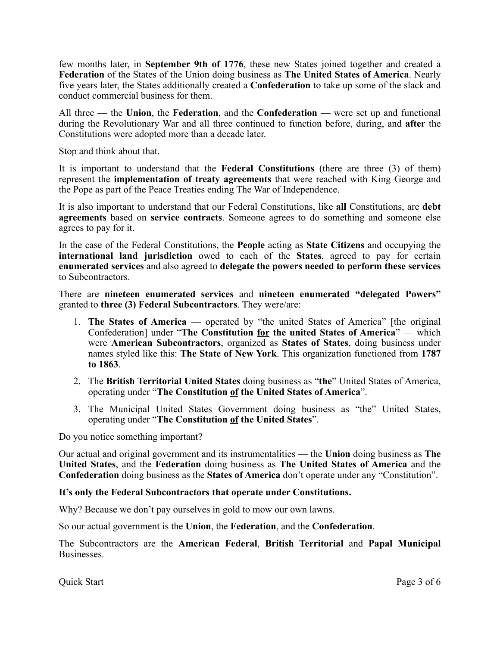few months later, in **September 9th of 1776**, these new States joined together and created a **Federation** of the States of the Union doing business as **The United States of America**. Nearly five years later, the States additionally created a **Confederation** to take up some of the slack and conduct commercial business for them.

All three — the **Union**, the **Federation**, and the **Confederation** — were set up and functional during the Revolutionary War and all three continued to function before, during, and **after** the Constitutions were adopted more than a decade later.

Stop and think about that.

It is important to understand that the **Federal Constitutions** (there are three (3) of them) represent the **implementation of treaty agreements** that were reached with King George and the Pope as part of the Peace Treaties ending The War of Independence.

It is also important to understand that our Federal Constitutions, like **all** Constitutions, are **debt agreements** based on **service contracts**. Someone agrees to do something and someone else agrees to pay for it.

In the case of the Federal Constitutions, the **People** acting as **State Citizens** and occupying the **international land jurisdiction** owed to each of the **States**, agreed to pay for certain **enumerated services** and also agreed to **delegate the powers needed to perform these services** to Subcontractors.

There are **nineteen enumerated services** and **nineteen enumerated "delegated Powers"** granted to **three (3) Federal Subcontractors**. They were/are:

- 1. **The States of America** operated by "the united States of America" [the original Confederation] under "**The Constitution for the united States of America**" — which were **American Subcontractors**, organized as **States of States**, doing business under names styled like this: **The State of New York**. This organization functioned from **1787 to 1863**.
- 2. The **British Territorial United States** doing business as "**the**" United States of America, operating under "**The Constitution of the United States of America**".
- 3. The Municipal United States Government doing business as "the" United States, operating under "**The Constitution of the United States**".

Do you notice something important?

Our actual and original government and its instrumentalities — the **Union** doing business as **The United States**, and the **Federation** doing business as **The United States of America** and the **Confederation** doing business as the **States of America** don't operate under any "Constitution".

## **It's only the Federal Subcontractors that operate under Constitutions.**

Why? Because we don't pay ourselves in gold to mow our own lawns.

So our actual government is the **Union**, the **Federation**, and the **Confederation**.

The Subcontractors are the **American Federal**, **British Territorial** and **Papal Municipal Businesses**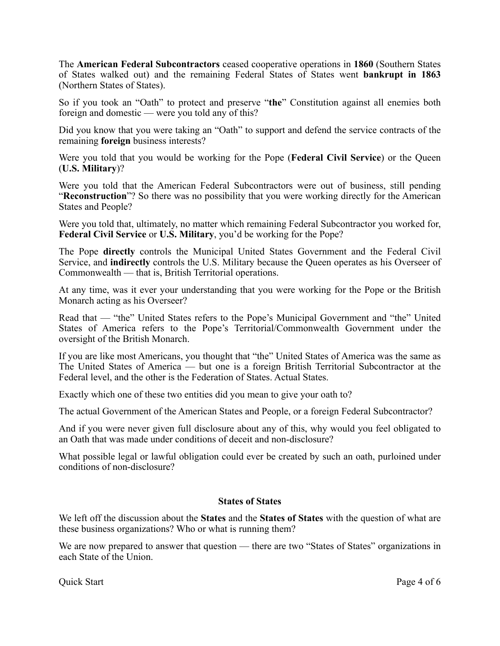The **American Federal Subcontractors** ceased cooperative operations in **1860** (Southern States of States walked out) and the remaining Federal States of States went **bankrupt in 1863** (Northern States of States).

So if you took an "Oath" to protect and preserve "**the**" Constitution against all enemies both foreign and domestic — were you told any of this?

Did you know that you were taking an "Oath" to support and defend the service contracts of the remaining **foreign** business interests?

Were you told that you would be working for the Pope (**Federal Civil Service**) or the Queen (**U.S. Military**)?

Were you told that the American Federal Subcontractors were out of business, still pending "**Reconstruction**"? So there was no possibility that you were working directly for the American States and People?

Were you told that, ultimately, no matter which remaining Federal Subcontractor you worked for, **Federal Civil Service** or **U.S. Military**, you'd be working for the Pope?

The Pope **directly** controls the Municipal United States Government and the Federal Civil Service, and **indirectly** controls the U.S. Military because the Queen operates as his Overseer of Commonwealth — that is, British Territorial operations.

At any time, was it ever your understanding that you were working for the Pope or the British Monarch acting as his Overseer?

Read that — "the" United States refers to the Pope's Municipal Government and "the" United States of America refers to the Pope's Territorial/Commonwealth Government under the oversight of the British Monarch.

If you are like most Americans, you thought that "the" United States of America was the same as The United States of America — but one is a foreign British Territorial Subcontractor at the Federal level, and the other is the Federation of States. Actual States.

Exactly which one of these two entities did you mean to give your oath to?

The actual Government of the American States and People, or a foreign Federal Subcontractor?

And if you were never given full disclosure about any of this, why would you feel obligated to an Oath that was made under conditions of deceit and non-disclosure?

What possible legal or lawful obligation could ever be created by such an oath, purloined under conditions of non-disclosure?

## **States of States**

We left off the discussion about the **States** and the **States of States** with the question of what are these business organizations? Who or what is running them?

We are now prepared to answer that question — there are two "States of States" organizations in each State of the Union.

Quick Start Page 4 of 6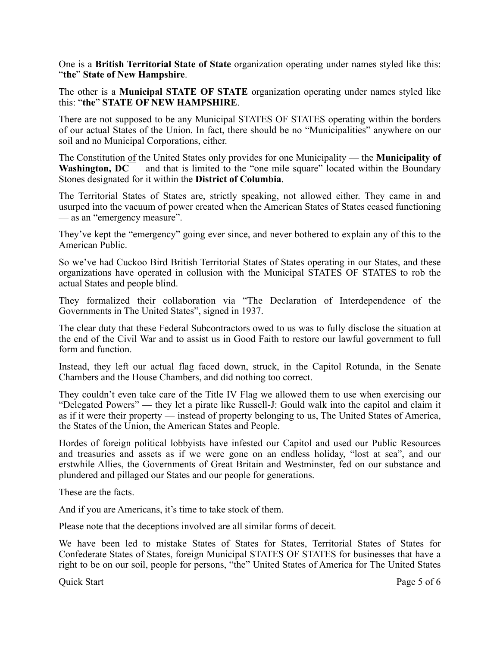One is a **British Territorial State of State** organization operating under names styled like this: "**the**" **State of New Hampshire**.

The other is a **Municipal STATE OF STATE** organization operating under names styled like this: "**the**" **STATE OF NEW HAMPSHIRE**.

There are not supposed to be any Municipal STATES OF STATES operating within the borders of our actual States of the Union. In fact, there should be no "Municipalities" anywhere on our soil and no Municipal Corporations, either.

The Constitution of the United States only provides for one Municipality — the **Municipality of Washington, DC** — and that is limited to the "one mile square" located within the Boundary Stones designated for it within the **District of Columbia**.

The Territorial States of States are, strictly speaking, not allowed either. They came in and usurped into the vacuum of power created when the American States of States ceased functioning — as an "emergency measure".

They've kept the "emergency" going ever since, and never bothered to explain any of this to the American Public.

So we've had Cuckoo Bird British Territorial States of States operating in our States, and these organizations have operated in collusion with the Municipal STATES OF STATES to rob the actual States and people blind.

They formalized their collaboration via "The Declaration of Interdependence of the Governments in The United States", signed in 1937.

The clear duty that these Federal Subcontractors owed to us was to fully disclose the situation at the end of the Civil War and to assist us in Good Faith to restore our lawful government to full form and function.

Instead, they left our actual flag faced down, struck, in the Capitol Rotunda, in the Senate Chambers and the House Chambers, and did nothing too correct.

They couldn't even take care of the Title IV Flag we allowed them to use when exercising our "Delegated Powers" — they let a pirate like Russell-J: Gould walk into the capitol and claim it as if it were their property — instead of property belonging to us, The United States of America, the States of the Union, the American States and People.

Hordes of foreign political lobbyists have infested our Capitol and used our Public Resources and treasuries and assets as if we were gone on an endless holiday, "lost at sea", and our erstwhile Allies, the Governments of Great Britain and Westminster, fed on our substance and plundered and pillaged our States and our people for generations.

These are the facts.

And if you are Americans, it's time to take stock of them.

Please note that the deceptions involved are all similar forms of deceit.

We have been led to mistake States of States for States, Territorial States of States for Confederate States of States, foreign Municipal STATES OF STATES for businesses that have a right to be on our soil, people for persons, "the" United States of America for The United States

Quick Start Page 5 of 6